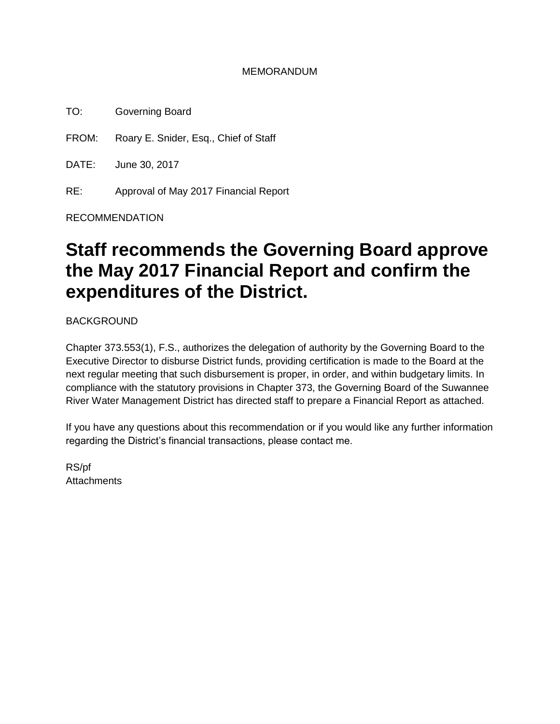### MEMORANDUM

TO: Governing Board

FROM: Roary E. Snider, Esq., Chief of Staff

DATE: June 30, 2017

RE: Approval of May 2017 Financial Report

RECOMMENDATION

# **Staff recommends the Governing Board approve the May 2017 Financial Report and confirm the expenditures of the District.**

BACKGROUND

Chapter 373.553(1), F.S., authorizes the delegation of authority by the Governing Board to the Executive Director to disburse District funds, providing certification is made to the Board at the next regular meeting that such disbursement is proper, in order, and within budgetary limits. In compliance with the statutory provisions in Chapter 373, the Governing Board of the Suwannee River Water Management District has directed staff to prepare a Financial Report as attached.

If you have any questions about this recommendation or if you would like any further information regarding the District's financial transactions, please contact me.

RS/pf **Attachments**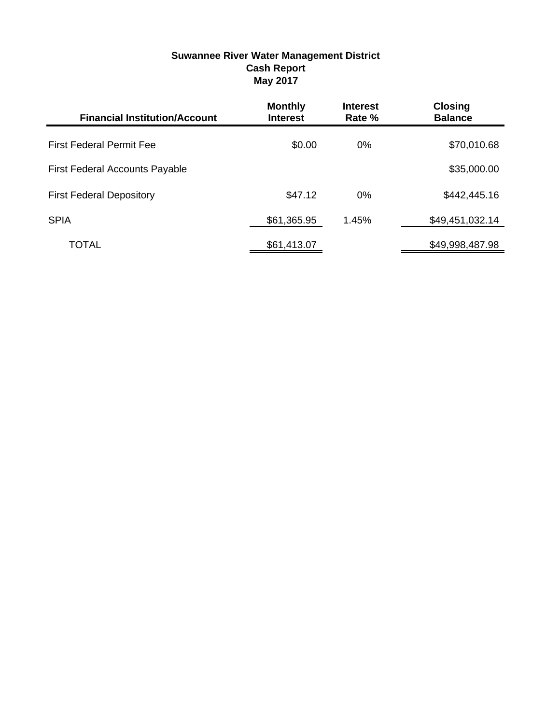### **Suwannee River Water Management District Cash Report May 2017**

| <b>Financial Institution/Account</b>  | <b>Monthly</b><br><b>Interest</b> | <b>Interest</b><br>Rate % | <b>Closing</b><br><b>Balance</b> |
|---------------------------------------|-----------------------------------|---------------------------|----------------------------------|
| <b>First Federal Permit Fee</b>       | \$0.00                            | 0%                        | \$70,010.68                      |
| <b>First Federal Accounts Payable</b> |                                   |                           | \$35,000.00                      |
| <b>First Federal Depository</b>       | \$47.12                           | $0\%$                     | \$442,445.16                     |
| <b>SPIA</b>                           | \$61,365.95                       | 1.45%                     | \$49,451,032.14                  |
| TOTAL                                 | \$61,413.07                       |                           | \$49,998,487.98                  |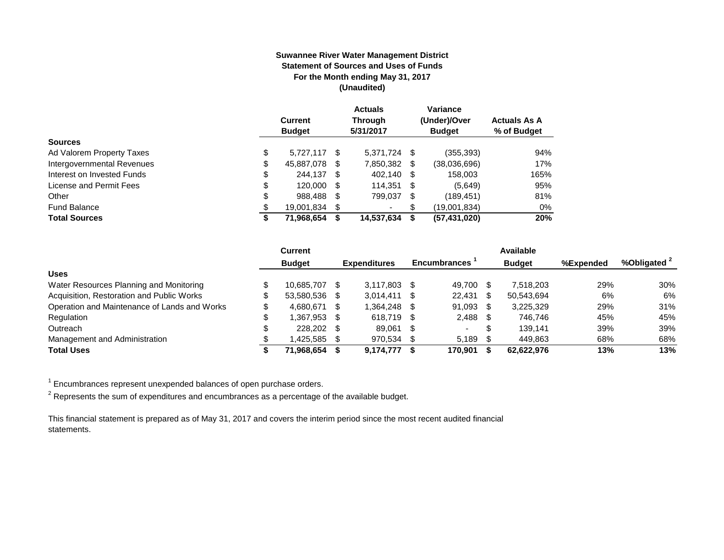#### **Suwannee River Water Management District Statement of Sources and Uses of Funds For the Month ending May 31, 2017 (Unaudited)**

|                            | <b>Current</b><br><b>Budget</b> |    | <b>Actuals</b><br>Through<br>5/31/2017 |      | Variance<br>(Under)/Over<br><b>Budget</b> | <b>Actuals As A</b><br>% of Budget |
|----------------------------|---------------------------------|----|----------------------------------------|------|-------------------------------------------|------------------------------------|
| <b>Sources</b>             |                                 |    |                                        |      |                                           |                                    |
| Ad Valorem Property Taxes  | \$<br>5.727.117                 | S  | 5.371.724 \$                           |      | (355, 393)                                | 94%                                |
| Intergovernmental Revenues | \$<br>45,887,078                | S  | 7,850,382                              | - \$ | (38,036,696)                              | 17%                                |
| Interest on Invested Funds | \$<br>244.137 \$                |    | 402.140 \$                             |      | 158,003                                   | 165%                               |
| License and Permit Fees    | \$<br>120,000                   | \$ | 114,351 \$                             |      | (5,649)                                   | 95%                                |
| Other                      | \$<br>988,488                   | \$ | 799,037                                | - \$ | (189, 451)                                | 81%                                |
| <b>Fund Balance</b>        | \$<br>19,001,834                |    | ۰                                      | S.   | (19,001,834)                              | 0%                                 |
| <b>Total Sources</b>       | \$<br>71,968,654                |    | 14,537,634                             | S    | (57, 431, 020)                            | 20%                                |

|                                              | <b>Current</b> |      |                     |      |                     |      | Available     |           |                         |
|----------------------------------------------|----------------|------|---------------------|------|---------------------|------|---------------|-----------|-------------------------|
|                                              | <b>Budget</b>  |      | <b>Expenditures</b> |      | <b>Encumbrances</b> |      | <b>Budget</b> | %Expended | %Obligated <sup>2</sup> |
| <b>Uses</b>                                  |                |      |                     |      |                     |      |               |           |                         |
| Water Resources Planning and Monitoring      | 10.685.707     |      | 3,117,803           |      | 49.700              |      | 7.518.203     | 29%       | 30%                     |
| Acquisition, Restoration and Public Works    | 53.580.536 \$  |      | 3.014.411           | - S  | 22,431              | -S   | 50.543.694    | 6%        | 6%                      |
| Operation and Maintenance of Lands and Works | 4.680.671      | - \$ | 1,364,248           | - \$ | 91,093              | - \$ | 3.225.329     | 29%       | 31%                     |
| Regulation                                   | 1.367.953 \$   |      | 618.719             | - \$ | $2,488$ \$          |      | 746.746       | 45%       | 45%                     |
| Outreach                                     | 228,202 \$     |      | 89,061              | - SS | $\sim$              | \$.  | 139.141       | 39%       | 39%                     |
| Management and Administration                | 1.425.585 \$   |      | 970,534             |      | 5.189               |      | 449,863       | 68%       | 68%                     |
| <b>Total Uses</b>                            | 71.968.654     |      | 9,174,777           |      | 170.901             |      | 62.622.976    | 13%       | 13%                     |

 $1$  Encumbrances represent unexpended balances of open purchase orders.

 $^2$  Represents the sum of expenditures and encumbrances as a percentage of the available budget.

This financial statement is prepared as of May 31, 2017 and covers the interim period since the most recent audited financial statements.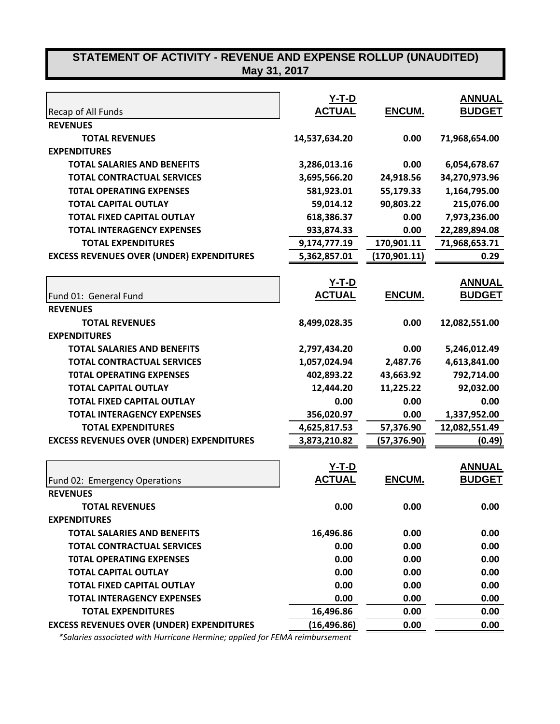# **STATEMENT OF ACTIVITY - REVENUE AND EXPENSE ROLLUP (UNAUDITED)**

| May 31, 2017 |  |
|--------------|--|
|--------------|--|

|                                                  | $Y-T-D$       |               | <b>ANNUAL</b> |
|--------------------------------------------------|---------------|---------------|---------------|
| Recap of All Funds                               | <b>ACTUAL</b> | ENCUM.        | <b>BUDGET</b> |
| <b>REVENUES</b>                                  |               |               |               |
| <b>TOTAL REVENUES</b>                            | 14,537,634.20 | 0.00          | 71,968,654.00 |
| <b>EXPENDITURES</b>                              |               |               |               |
| <b>TOTAL SALARIES AND BENEFITS</b>               | 3,286,013.16  | 0.00          | 6,054,678.67  |
| <b>TOTAL CONTRACTUAL SERVICES</b>                | 3,695,566.20  | 24,918.56     | 34,270,973.96 |
| <b>TOTAL OPERATING EXPENSES</b>                  | 581,923.01    | 55,179.33     | 1,164,795.00  |
| <b>TOTAL CAPITAL OUTLAY</b>                      | 59,014.12     | 90,803.22     | 215,076.00    |
| <b>TOTAL FIXED CAPITAL OUTLAY</b>                | 618,386.37    | 0.00          | 7,973,236.00  |
| <b>TOTAL INTERAGENCY EXPENSES</b>                | 933,874.33    | 0.00          | 22,289,894.08 |
| <b>TOTAL EXPENDITURES</b>                        | 9,174,777.19  | 170,901.11    | 71,968,653.71 |
| <b>EXCESS REVENUES OVER (UNDER) EXPENDITURES</b> | 5,362,857.01  | (170, 901.11) | 0.29          |
|                                                  | <u>Y-T-D</u>  |               | <b>ANNUAL</b> |
| Fund 01: General Fund                            | <b>ACTUAL</b> | ENCUM.        | <b>BUDGET</b> |
| <b>REVENUES</b>                                  |               |               |               |
| <b>TOTAL REVENUES</b>                            | 8,499,028.35  | 0.00          | 12,082,551.00 |
| <b>EXPENDITURES</b>                              |               |               |               |
| <b>TOTAL SALARIES AND BENEFITS</b>               | 2,797,434.20  | 0.00          | 5,246,012.49  |
| <b>TOTAL CONTRACTUAL SERVICES</b>                | 1,057,024.94  | 2,487.76      | 4,613,841.00  |
| <b>TOTAL OPERATING EXPENSES</b>                  | 402,893.22    | 43,663.92     | 792,714.00    |
| <b>TOTAL CAPITAL OUTLAY</b>                      | 12,444.20     | 11,225.22     | 92,032.00     |
| <b>TOTAL FIXED CAPITAL OUTLAY</b>                | 0.00          | 0.00          | 0.00          |
| <b>TOTAL INTERAGENCY EXPENSES</b>                | 356,020.97    | 0.00          | 1,337,952.00  |
| <b>TOTAL EXPENDITURES</b>                        | 4,625,817.53  | 57,376.90     | 12,082,551.49 |
| <b>EXCESS REVENUES OVER (UNDER) EXPENDITURES</b> | 3,873,210.82  | (57,376.90)   | (0.49)        |
|                                                  | <u>Y-T-D</u>  |               | <u>ANNUAL</u> |
| Fund 02: Emergency Operations                    | <b>ACTUAL</b> | ENCUM.        | <b>BUDGET</b> |
| <b>REVENUES</b>                                  |               |               |               |
| <b>TOTAL REVENUES</b>                            | 0.00          | 0.00          | 0.00          |
| <b>EXPENDITURES</b>                              |               |               |               |
| <b>TOTAL SALARIES AND BENEFITS</b>               | 16,496.86     | 0.00          | 0.00          |
| <b>TOTAL CONTRACTUAL SERVICES</b>                | 0.00          | 0.00          | 0.00          |
| <b>TOTAL OPERATING EXPENSES</b>                  | 0.00          | 0.00          | 0.00          |
| <b>TOTAL CAPITAL OUTLAY</b>                      | 0.00          | 0.00          | 0.00          |
| <b>TOTAL FIXED CAPITAL OUTLAY</b>                | 0.00          | 0.00          | 0.00          |
| <b>TOTAL INTERAGENCY EXPENSES</b>                | 0.00          | 0.00          | 0.00          |
| <b>TOTAL EXPENDITURES</b>                        | 16,496.86     | 0.00          | 0.00          |
| <b>EXCESS REVENUES OVER (UNDER) EXPENDITURES</b> | (16,496.86)   | 0.00          | 0.00          |

 *\*Salaries associated with Hurricane Hermine; applied for FEMA reimbursement*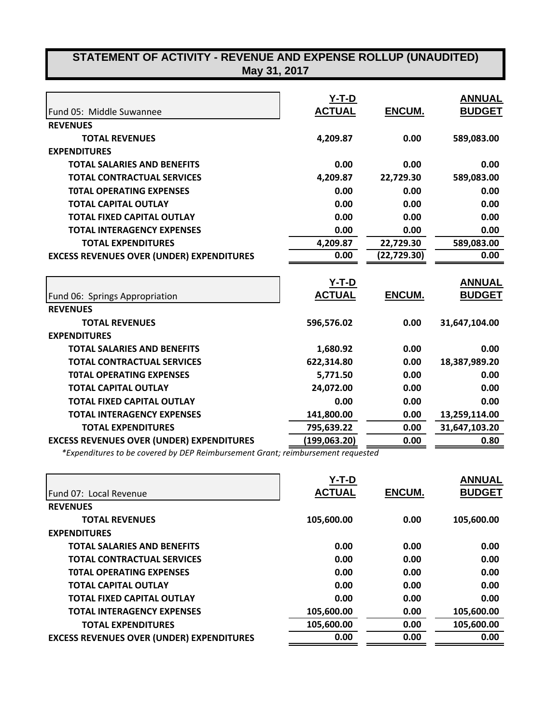| STATEMENT OF ACTIVITY - REVENUE AND EXPENSE ROLLUP (UNAUDITED)<br>May 31, 2017 |                               |             |                                |  |  |
|--------------------------------------------------------------------------------|-------------------------------|-------------|--------------------------------|--|--|
| Fund 05: Middle Suwannee                                                       | <u>Y-T-D</u><br><b>ACTUAL</b> | ENCUM.      | <b>ANNUAL</b><br><b>BUDGET</b> |  |  |
| <b>REVENUES</b>                                                                |                               |             |                                |  |  |
| <b>TOTAL REVENUES</b>                                                          | 4,209.87                      | 0.00        | 589,083.00                     |  |  |
| <b>EXPENDITURES</b>                                                            |                               |             |                                |  |  |
| <b>TOTAL SALARIES AND BENEFITS</b>                                             | 0.00                          | 0.00        | 0.00                           |  |  |
| <b>TOTAL CONTRACTUAL SERVICES</b>                                              | 4,209.87                      | 22,729.30   | 589,083.00                     |  |  |
| <b>TOTAL OPERATING EXPENSES</b>                                                | 0.00                          | 0.00        | 0.00                           |  |  |
| <b>TOTAL CAPITAL OUTLAY</b>                                                    | 0.00                          | 0.00        | 0.00                           |  |  |
| <b>TOTAL FIXED CAPITAL OUTLAY</b>                                              | 0.00                          | 0.00        | 0.00                           |  |  |
| <b>TOTAL INTERAGENCY EXPENSES</b>                                              | 0.00                          | 0.00        | 0.00                           |  |  |
| <b>TOTAL EXPENDITURES</b>                                                      | 4,209.87                      | 22,729.30   | 589,083.00                     |  |  |
| <b>EXCESS REVENUES OVER (UNDER) EXPENDITURES</b>                               | 0.00                          | (22,729.30) | 0.00                           |  |  |
|                                                                                | <u>Y-T-D</u>                  |             | <b>ANNUAL</b>                  |  |  |
| Fund 06: Springs Appropriation                                                 | <b>ACTUAL</b>                 | ENCUM.      | <b>BUDGET</b>                  |  |  |
| <b>REVENUES</b>                                                                |                               |             |                                |  |  |
| <b>TOTAL REVENUES</b>                                                          | 596,576.02                    | 0.00        | 31,647,104.00                  |  |  |
| <b>EXPENDITURES</b>                                                            |                               |             |                                |  |  |
| <b>TOTAL SALARIES AND BENEFITS</b>                                             | 1,680.92                      | 0.00        | 0.00                           |  |  |
| <b>TOTAL CONTRACTUAL SERVICES</b>                                              | 622,314.80                    | 0.00        | 18,387,989.20                  |  |  |
| <b>TOTAL OPERATING EXPENSES</b>                                                | 5,771.50                      | 0.00        | 0.00                           |  |  |
| <b>TOTAL CAPITAL OUTLAY</b>                                                    | 24,072.00                     | 0.00        | 0.00                           |  |  |
| <b>TOTAL FIXED CAPITAL OUTLAY</b>                                              | 0.00                          | 0.00        | 0.00                           |  |  |
| <b>TOTAL INTERAGENCY EXPENSES</b>                                              | 141,800.00                    | 0.00        | 13,259,114.00                  |  |  |
| <b>TOTAL EXPENDITURES</b>                                                      | 795,639.22                    | 0.00        | 31,647,103.20                  |  |  |
| <b>EXCESS REVENUES OVER (UNDER) EXPENDITURES</b>                               | (199, 063.20)                 | 0.00        | 0.80                           |  |  |

*\*Expenditures to be covered by DEP Reimbursement Grant; reimbursement requested*

|                                                  | Y-T-D         |               | <b>ANNUAL</b> |
|--------------------------------------------------|---------------|---------------|---------------|
| Fund 07: Local Revenue                           | <b>ACTUAL</b> | <b>ENCUM.</b> | <b>BUDGET</b> |
| <b>REVENUES</b>                                  |               |               |               |
| <b>TOTAL REVENUES</b>                            | 105,600.00    | 0.00          | 105,600.00    |
| <b>EXPENDITURES</b>                              |               |               |               |
| <b>TOTAL SALARIES AND BENEFITS</b>               | 0.00          | 0.00          | 0.00          |
| <b>TOTAL CONTRACTUAL SERVICES</b>                | 0.00          | 0.00          | 0.00          |
| <b>TOTAL OPERATING EXPENSES</b>                  | 0.00          | 0.00          | 0.00          |
| <b>TOTAL CAPITAL OUTLAY</b>                      | 0.00          | 0.00          | 0.00          |
| <b>TOTAL FIXED CAPITAL OUTLAY</b>                | 0.00          | 0.00          | 0.00          |
| <b>TOTAL INTERAGENCY EXPENSES</b>                | 105,600.00    | 0.00          | 105,600.00    |
| <b>TOTAL EXPENDITURES</b>                        | 105,600.00    | 0.00          | 105,600.00    |
| <b>EXCESS REVENUES OVER (UNDER) EXPENDITURES</b> | 0.00          | 0.00          | 0.00          |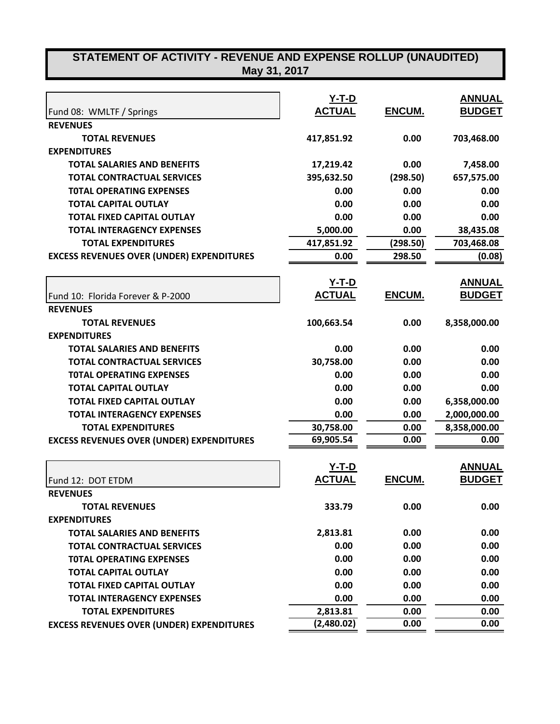| STATEMENT OF ACTIVITY - REVENUE AND EXPENSE ROLLUP (UNAUDITED)<br>May 31, 2017 |               |          |               |
|--------------------------------------------------------------------------------|---------------|----------|---------------|
|                                                                                |               |          |               |
|                                                                                | $Y-T-D$       |          | <b>ANNUAL</b> |
| Fund 08: WMLTF / Springs                                                       | <b>ACTUAL</b> | ENCUM.   | <b>BUDGET</b> |
| <b>REVENUES</b>                                                                |               |          |               |
| <b>TOTAL REVENUES</b>                                                          | 417,851.92    | 0.00     | 703,468.00    |
| <b>EXPENDITURES</b>                                                            |               |          |               |
| <b>TOTAL SALARIES AND BENEFITS</b>                                             | 17,219.42     | 0.00     | 7,458.00      |
| <b>TOTAL CONTRACTUAL SERVICES</b>                                              | 395,632.50    | (298.50) | 657,575.00    |
| <b>TOTAL OPERATING EXPENSES</b>                                                | 0.00          | 0.00     | 0.00          |
| <b>TOTAL CAPITAL OUTLAY</b>                                                    | 0.00          | 0.00     | 0.00          |
| <b>TOTAL FIXED CAPITAL OUTLAY</b>                                              | 0.00          | 0.00     | 0.00          |
| <b>TOTAL INTERAGENCY EXPENSES</b>                                              | 5,000.00      | 0.00     | 38,435.08     |
| <b>TOTAL EXPENDITURES</b>                                                      | 417,851.92    | (298.50) | 703,468.08    |
| <b>EXCESS REVENUES OVER (UNDER) EXPENDITURES</b>                               | 0.00          | 298.50   | (0.08)        |
|                                                                                |               |          |               |
|                                                                                | <u>Y-T-D</u>  |          | <u>ANNUAL</u> |
| Fund 10: Florida Forever & P-2000                                              | <b>ACTUAL</b> | ENCUM.   | <b>BUDGET</b> |
| <b>REVENUES</b>                                                                |               |          |               |
| <b>TOTAL REVENUES</b>                                                          | 100,663.54    | 0.00     | 8,358,000.00  |
| <b>EXPENDITURES</b>                                                            |               |          |               |
| <b>TOTAL SALARIES AND BENEFITS</b>                                             | 0.00          | 0.00     | 0.00          |
| <b>TOTAL CONTRACTUAL SERVICES</b>                                              | 30,758.00     | 0.00     | 0.00          |
| <b>TOTAL OPERATING EXPENSES</b>                                                | 0.00          | 0.00     | 0.00          |
| <b>TOTAL CAPITAL OUTLAY</b>                                                    | 0.00          | 0.00     | 0.00          |
| <b>TOTAL FIXED CAPITAL OUTLAY</b>                                              | 0.00          | 0.00     | 6,358,000.00  |
| <b>TOTAL INTERAGENCY EXPENSES</b>                                              | 0.00          | 0.00     | 2,000,000.00  |
| <b>TOTAL EXPENDITURES</b>                                                      | 30,758.00     | 0.00     | 8,358,000.00  |
| <b>EXCESS REVENUES OVER (UNDER) EXPENDITURES</b>                               | 69,905.54     | 0.00     | 0.00          |
|                                                                                | <u>Y-T-D</u>  |          | <b>ANNUAL</b> |
| Fund 12: DOT ETDM                                                              | <b>ACTUAL</b> | ENCUM.   | <b>BUDGET</b> |
| <b>REVENUES</b>                                                                |               |          |               |
| <b>TOTAL REVENUES</b>                                                          | 333.79        | 0.00     | 0.00          |
| <b>EXPENDITURES</b>                                                            |               |          |               |
| <b>TOTAL SALARIES AND BENEFITS</b>                                             | 2,813.81      | 0.00     | 0.00          |
| <b>TOTAL CONTRACTUAL SERVICES</b>                                              | 0.00          | 0.00     | 0.00          |
| <b>TOTAL OPERATING EXPENSES</b>                                                | 0.00          | 0.00     | 0.00          |
| <b>TOTAL CAPITAL OUTLAY</b>                                                    | 0.00          | 0.00     | 0.00          |
| <b>TOTAL FIXED CAPITAL OUTLAY</b>                                              | 0.00          | 0.00     | 0.00          |
| <b>TOTAL INTERAGENCY EXPENSES</b>                                              | 0.00          | 0.00     | 0.00          |
| <b>TOTAL EXPENDITURES</b>                                                      | 2,813.81      | 0.00     | 0.00          |
| <b>EXCESS REVENUES OVER (UNDER) EXPENDITURES</b>                               | (2,480.02)    | 0.00     | 0.00          |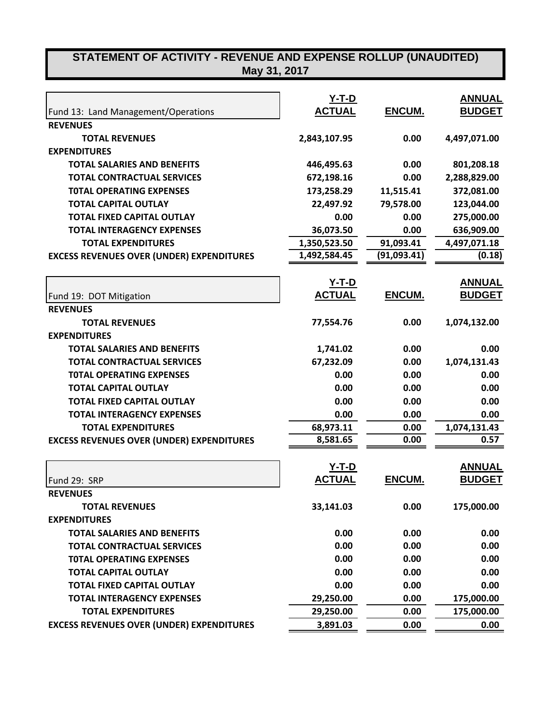## **STATEMENT OF ACTIVITY - REVENUE AND EXPENSE ROLLUP (UNAUDITED) May 31, 2017**

|                                                  | $Y-T-D$       |             | <b>ANNUAL</b> |
|--------------------------------------------------|---------------|-------------|---------------|
| Fund 13: Land Management/Operations              | <b>ACTUAL</b> | ENCUM.      | <b>BUDGET</b> |
| <b>REVENUES</b>                                  |               |             |               |
| <b>TOTAL REVENUES</b>                            | 2,843,107.95  | 0.00        | 4,497,071.00  |
| <b>EXPENDITURES</b>                              |               |             |               |
| <b>TOTAL SALARIES AND BENEFITS</b>               | 446,495.63    | 0.00        | 801,208.18    |
| <b>TOTAL CONTRACTUAL SERVICES</b>                | 672,198.16    | 0.00        | 2,288,829.00  |
| <b>TOTAL OPERATING EXPENSES</b>                  | 173,258.29    | 11,515.41   | 372,081.00    |
| <b>TOTAL CAPITAL OUTLAY</b>                      | 22,497.92     | 79,578.00   | 123,044.00    |
| <b>TOTAL FIXED CAPITAL OUTLAY</b>                | 0.00          | 0.00        | 275,000.00    |
| <b>TOTAL INTERAGENCY EXPENSES</b>                | 36,073.50     | 0.00        | 636,909.00    |
| <b>TOTAL EXPENDITURES</b>                        | 1,350,523.50  | 91,093.41   | 4,497,071.18  |
| <b>EXCESS REVENUES OVER (UNDER) EXPENDITURES</b> | 1,492,584.45  | (91,093.41) | (0.18)        |
|                                                  | <u>Y-T-D</u>  |             | <b>ANNUAL</b> |
| Fund 19: DOT Mitigation                          | <b>ACTUAL</b> | ENCUM.      | <b>BUDGET</b> |
| <b>REVENUES</b>                                  |               |             |               |
| <b>TOTAL REVENUES</b>                            | 77,554.76     | 0.00        | 1,074,132.00  |
| <b>EXPENDITURES</b>                              |               |             |               |
| <b>TOTAL SALARIES AND BENEFITS</b>               | 1,741.02      | 0.00        | 0.00          |
| <b>TOTAL CONTRACTUAL SERVICES</b>                | 67,232.09     | 0.00        | 1,074,131.43  |
| <b>TOTAL OPERATING EXPENSES</b>                  | 0.00          | 0.00        | 0.00          |
| <b>TOTAL CAPITAL OUTLAY</b>                      | 0.00          | 0.00        | 0.00          |
| <b>TOTAL FIXED CAPITAL OUTLAY</b>                | 0.00          | 0.00        | 0.00          |
| <b>TOTAL INTERAGENCY EXPENSES</b>                | 0.00          | 0.00        | 0.00          |
| <b>TOTAL EXPENDITURES</b>                        | 68,973.11     | 0.00        | 1,074,131.43  |
| <b>EXCESS REVENUES OVER (UNDER) EXPENDITURES</b> | 8,581.65      | 0.00        | 0.57          |
|                                                  | <u>Y-T-D</u>  |             | <b>ANNUAL</b> |
| Fund 29: SRP                                     | <b>ACTUAL</b> | ENCUM.      | <b>BUDGET</b> |
| <b>REVENUES</b>                                  |               |             |               |
| <b>TOTAL REVENUES</b>                            | 33,141.03     | 0.00        | 175,000.00    |
| <b>EXPENDITURES</b>                              |               |             |               |
| <b>TOTAL SALARIES AND BENEFITS</b>               | 0.00          | 0.00        | 0.00          |
| <b>TOTAL CONTRACTUAL SERVICES</b>                | 0.00          | 0.00        | 0.00          |
| <b>TOTAL OPERATING EXPENSES</b>                  | 0.00          | 0.00        | 0.00          |
| <b>TOTAL CAPITAL OUTLAY</b>                      | 0.00          | 0.00        | 0.00          |
| <b>TOTAL FIXED CAPITAL OUTLAY</b>                | 0.00          | 0.00        | 0.00          |
| <b>TOTAL INTERAGENCY EXPENSES</b>                | 29,250.00     | 0.00        | 175,000.00    |
| <b>TOTAL EXPENDITURES</b>                        | 29,250.00     | 0.00        | 175,000.00    |
| <b>EXCESS REVENUES OVER (UNDER) EXPENDITURES</b> | 3,891.03      | 0.00        | 0.00          |
|                                                  |               |             |               |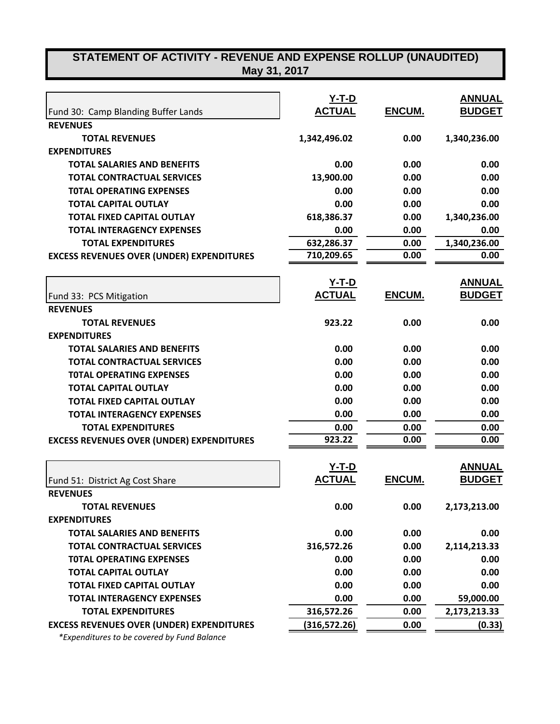## **STATEMENT OF ACTIVITY - REVENUE AND EXPENSE ROLLUP (UNAUDITED) May 31, 2017**

|                                                  | <u>Y-T-D</u>                  |               | <b>ANNUAL</b>                  |
|--------------------------------------------------|-------------------------------|---------------|--------------------------------|
| Fund 30: Camp Blanding Buffer Lands              | <b>ACTUAL</b>                 | <b>ENCUM.</b> | <b>BUDGET</b>                  |
| <b>REVENUES</b>                                  |                               |               |                                |
| <b>TOTAL REVENUES</b>                            | 1,342,496.02                  | 0.00          | 1,340,236.00                   |
| <b>EXPENDITURES</b>                              |                               |               |                                |
| <b>TOTAL SALARIES AND BENEFITS</b>               | 0.00                          | 0.00          | 0.00                           |
| <b>TOTAL CONTRACTUAL SERVICES</b>                | 13,900.00                     | 0.00          | 0.00                           |
| <b>TOTAL OPERATING EXPENSES</b>                  | 0.00                          | 0.00          | 0.00                           |
| <b>TOTAL CAPITAL OUTLAY</b>                      | 0.00                          | 0.00          | 0.00                           |
| <b>TOTAL FIXED CAPITAL OUTLAY</b>                | 618,386.37                    | 0.00          | 1,340,236.00                   |
| <b>TOTAL INTERAGENCY EXPENSES</b>                | 0.00                          | 0.00          | 0.00                           |
| <b>TOTAL EXPENDITURES</b>                        | 632,286.37                    | 0.00          | 1,340,236.00                   |
| <b>EXCESS REVENUES OVER (UNDER) EXPENDITURES</b> | 710,209.65                    | 0.00          | 0.00                           |
|                                                  |                               |               |                                |
|                                                  | <u>Y-T-D</u>                  |               | <b>ANNUAL</b>                  |
| Fund 33: PCS Mitigation                          | <b>ACTUAL</b>                 | ENCUM.        | <b>BUDGET</b>                  |
| <b>REVENUES</b>                                  |                               |               |                                |
| <b>TOTAL REVENUES</b>                            | 923.22                        | 0.00          | 0.00                           |
| <b>EXPENDITURES</b>                              |                               |               |                                |
| <b>TOTAL SALARIES AND BENEFITS</b>               | 0.00                          | 0.00          | 0.00                           |
| <b>TOTAL CONTRACTUAL SERVICES</b>                | 0.00                          | 0.00          | 0.00                           |
| <b>TOTAL OPERATING EXPENSES</b>                  | 0.00                          | 0.00          | 0.00                           |
| <b>TOTAL CAPITAL OUTLAY</b>                      | 0.00                          | 0.00          | 0.00                           |
| <b>TOTAL FIXED CAPITAL OUTLAY</b>                | 0.00                          | 0.00          | 0.00                           |
| <b>TOTAL INTERAGENCY EXPENSES</b>                | 0.00                          | 0.00          | 0.00                           |
| <b>TOTAL EXPENDITURES</b>                        | 0.00                          | 0.00          | 0.00                           |
| <b>EXCESS REVENUES OVER (UNDER) EXPENDITURES</b> | 923.22                        | 0.00          | 0.00                           |
|                                                  |                               |               |                                |
| Fund 51: District Ag Cost Share                  | <u>Y-T-D</u><br><b>ACTUAL</b> | <b>ENCUM.</b> | <u>ANNUAL</u><br><b>BUDGET</b> |
| <b>REVENUES</b>                                  |                               |               |                                |
| <b>TOTAL REVENUES</b>                            | 0.00                          | 0.00          | 2,173,213.00                   |
| <b>EXPENDITURES</b>                              |                               |               |                                |
| <b>TOTAL SALARIES AND BENEFITS</b>               | 0.00                          | 0.00          | 0.00                           |
| <b>TOTAL CONTRACTUAL SERVICES</b>                | 316,572.26                    | 0.00          | 2,114,213.33                   |
| <b>TOTAL OPERATING EXPENSES</b>                  | 0.00                          | 0.00          | 0.00                           |
| <b>TOTAL CAPITAL OUTLAY</b>                      | 0.00                          | 0.00          | 0.00                           |
| <b>TOTAL FIXED CAPITAL OUTLAY</b>                | 0.00                          | 0.00          | 0.00                           |

**TOTAL INTERAGENCY EXPENSES 0.00 0.00 59,000.00**

**TOTAL EXPENDITURES 316,572.26 0.00 2,173,213.33 EXCESS REVENUES OVER (UNDER) EXPENDITURES** (316,572.26) 0.00 (0.33)

 *\*Expenditures to be covered by Fund Balance*